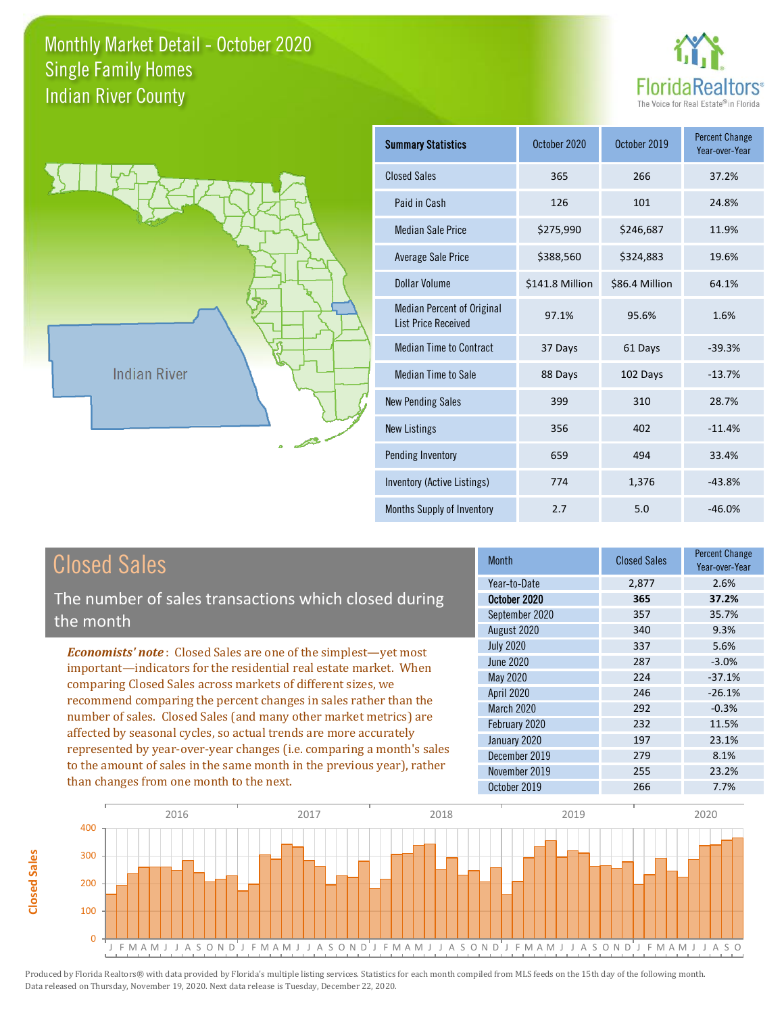



**Closed Sales**

**Closed Sales** 

| <b>Summary Statistics</b>                                       | October 2020    | October 2019   | <b>Percent Change</b><br>Year-over-Year |
|-----------------------------------------------------------------|-----------------|----------------|-----------------------------------------|
| <b>Closed Sales</b>                                             | 365             | 266            | 37.2%                                   |
| Paid in Cash                                                    | 126             | 101            | 24.8%                                   |
| <b>Median Sale Price</b>                                        | \$275,990       | \$246,687      | 11.9%                                   |
| <b>Average Sale Price</b>                                       | \$388,560       | \$324,883      | 19.6%                                   |
| Dollar Volume                                                   | \$141.8 Million | \$86.4 Million | 64.1%                                   |
| <b>Median Percent of Original</b><br><b>List Price Received</b> | 97.1%           | 95.6%          | 1.6%                                    |
| <b>Median Time to Contract</b>                                  | 37 Days         | 61 Days        | $-39.3%$                                |
| Median Time to Sale                                             | 88 Days         | 102 Days       | $-13.7%$                                |
| <b>New Pending Sales</b>                                        | 399             | 310            | 28.7%                                   |
| <b>New Listings</b>                                             | 356             | 402            | $-11.4%$                                |
| Pending Inventory                                               | 659             | 494            | 33.4%                                   |
| Inventory (Active Listings)                                     | 774             | 1,376          | $-43.8%$                                |
| Months Supply of Inventory                                      | 2.7             | 5.0            | $-46.0%$                                |

| <b>Closed Sales</b>                                                                                                                                                                                                                                                                                                                                                                                                                                                                                                                                                                                                      | <b>Month</b>                                                                                                                                                           | <b>Closed Sales</b>                                                | <b>Percent Change</b><br>Year-over-Year                                                       |
|--------------------------------------------------------------------------------------------------------------------------------------------------------------------------------------------------------------------------------------------------------------------------------------------------------------------------------------------------------------------------------------------------------------------------------------------------------------------------------------------------------------------------------------------------------------------------------------------------------------------------|------------------------------------------------------------------------------------------------------------------------------------------------------------------------|--------------------------------------------------------------------|-----------------------------------------------------------------------------------------------|
| The number of sales transactions which closed during<br>the month                                                                                                                                                                                                                                                                                                                                                                                                                                                                                                                                                        | Year-to-Date<br>October 2020<br>September 2020<br>August 2020                                                                                                          | 2,877<br>365<br>357<br>340                                         | 2.6%<br>37.2%<br>35.7%<br>9.3%                                                                |
| <b>Economists' note:</b> Closed Sales are one of the simplest—yet most<br>important-indicators for the residential real estate market. When<br>comparing Closed Sales across markets of different sizes, we<br>recommend comparing the percent changes in sales rather than the<br>number of sales. Closed Sales (and many other market metrics) are<br>affected by seasonal cycles, so actual trends are more accurately<br>represented by year-over-year changes (i.e. comparing a month's sales<br>to the amount of sales in the same month in the previous year), rather<br>than changes from one month to the next. | <b>July 2020</b><br>June 2020<br>May 2020<br><b>April 2020</b><br><b>March 2020</b><br>February 2020<br>January 2020<br>December 2019<br>November 2019<br>October 2019 | 337<br>287<br>224<br>246<br>292<br>232<br>197<br>279<br>255<br>266 | 5.6%<br>$-3.0%$<br>$-37.1%$<br>$-26.1%$<br>$-0.3%$<br>11.5%<br>23.1%<br>8.1%<br>23.2%<br>7.7% |

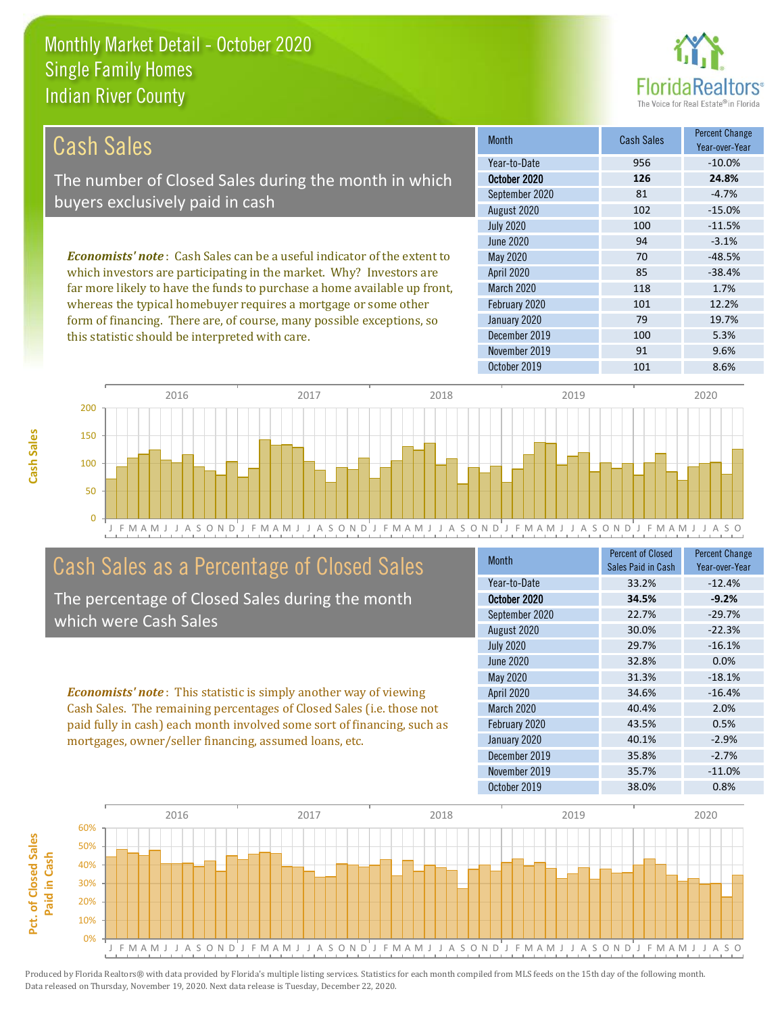this statistic should be interpreted with care.



| Cash Sales                                                                     | <b>Month</b>      | <b>Cash Sales</b> | <b>Percent Change</b><br>Year-over-Year |
|--------------------------------------------------------------------------------|-------------------|-------------------|-----------------------------------------|
|                                                                                | Year-to-Date      | 956               | $-10.0\%$                               |
| The number of Closed Sales during the month in which                           | October 2020      | 126               | 24.8%                                   |
| buyers exclusively paid in cash                                                | September 2020    | 81                | $-4.7%$                                 |
|                                                                                | August 2020       | 102               | $-15.0%$                                |
|                                                                                | <b>July 2020</b>  | 100               | $-11.5%$                                |
|                                                                                | June 2020         | 94                | $-3.1%$                                 |
| <b>Economists' note:</b> Cash Sales can be a useful indicator of the extent to | May 2020          | 70                | $-48.5%$                                |
| which investors are participating in the market. Why? Investors are            | <b>April 2020</b> | 85                | $-38.4%$                                |
| far more likely to have the funds to purchase a home available up front,       | <b>March 2020</b> | 118               | 1.7%                                    |
| whereas the typical homebuyer requires a mortgage or some other                | February 2020     | 101               | 12.2%                                   |
| form of financing. There are, of course, many possible exceptions, so          | January 2020      | 79                | 19.7%                                   |
| this statistic should be interpreted with care                                 | December 2019     | 100               | 5.3%                                    |



### Cash Sales as a Percentage of Closed Sales

The percentage of Closed Sales during the month which were Cash Sales

*Economists' note* : This statistic is simply another way of viewing Cash Sales. The remaining percentages of Closed Sales (i.e. those not paid fully in cash) each month involved some sort of financing, such as mortgages, owner/seller financing, assumed loans, etc.

| <b>Month</b>      | <b>Percent of Closed</b><br>Sales Paid in Cash | <b>Percent Change</b><br>Year-over-Year |
|-------------------|------------------------------------------------|-----------------------------------------|
| Year-to-Date      | 33.2%                                          | $-12.4%$                                |
| October 2020      | 34.5%                                          | $-9.2%$                                 |
| September 2020    | 22.7%                                          | $-29.7%$                                |
| August 2020       | 30.0%                                          | $-22.3%$                                |
| <b>July 2020</b>  | 29.7%                                          | $-16.1%$                                |
| June 2020         | 32.8%                                          | 0.0%                                    |
| May 2020          | 31.3%                                          | $-18.1%$                                |
| April 2020        | 34.6%                                          | $-16.4%$                                |
| <b>March 2020</b> | 40.4%                                          | 2.0%                                    |
| February 2020     | 43.5%                                          | 0.5%                                    |
| January 2020      | 40.1%                                          | $-2.9%$                                 |
| December 2019     | 35.8%                                          | $-2.7%$                                 |
| November 2019     | 35.7%                                          | $-11.0%$                                |
| October 2019      | 38.0%                                          | 0.8%                                    |

November 2019 91 91 9.6%

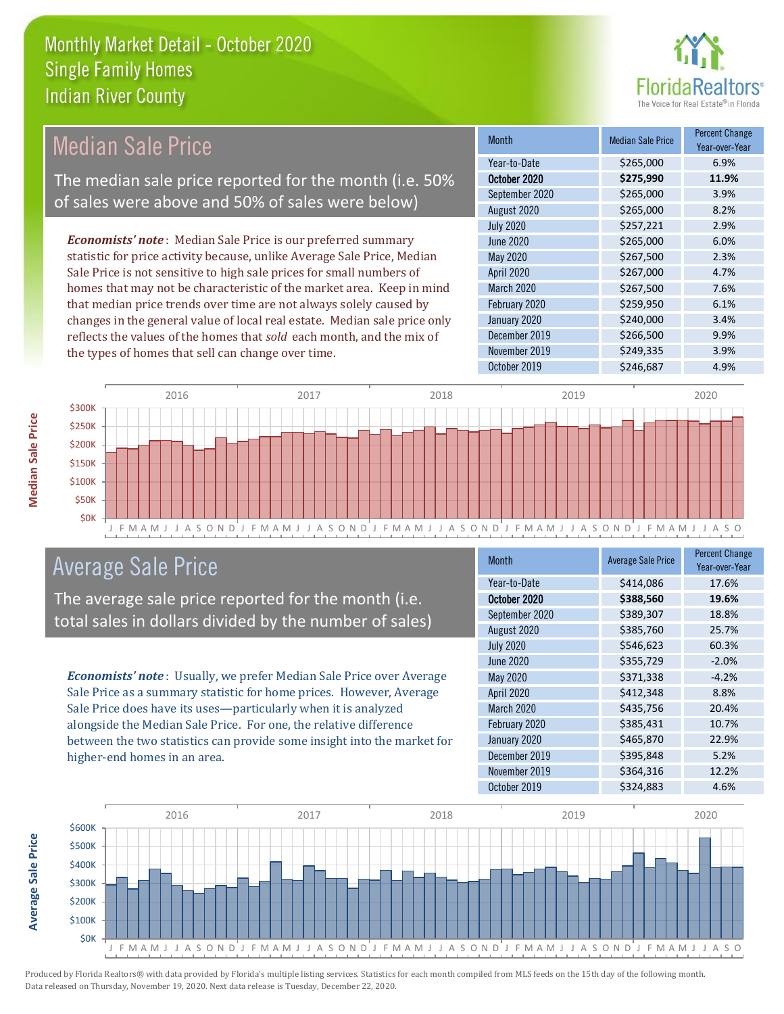

# Median Sale Price

The median sale price reported for the month (i.e. 50% of sales were above and 50% of sales were below)

*Economists' note* : Median Sale Price is our preferred summary statistic for price activity because, unlike Average Sale Price, Median Sale Price is not sensitive to high sale prices for small numbers of homes that may not be characteristic of the market area. Keep in mind that median price trends over time are not always solely caused by changes in the general value of local real estate. Median sale price only reflects the values of the homes that *sold* each month, and the mix of the types of homes that sell can change over time.

| <b>Month</b>     | <b>Median Sale Price</b> | <b>Percent Change</b><br>Year-over-Year |
|------------------|--------------------------|-----------------------------------------|
| Year-to-Date     | \$265,000                | 6.9%                                    |
| October 2020     | \$275,990                | 11.9%                                   |
| September 2020   | \$265,000                | 3.9%                                    |
| August 2020      | \$265,000                | 8.2%                                    |
| <b>July 2020</b> | \$257,221                | 2.9%                                    |
| <b>June 2020</b> | \$265,000                | 6.0%                                    |
| May 2020         | \$267,500                | 2.3%                                    |
| April 2020       | \$267,000                | 4.7%                                    |
| March 2020       | \$267,500                | 7.6%                                    |
| February 2020    | \$259,950                | 6.1%                                    |
| January 2020     | \$240,000                | 3.4%                                    |
| December 2019    | \$266,500                | 9.9%                                    |
| November 2019    | \$249,335                | 3.9%                                    |
| October 2019     | \$246,687                | 4.9%                                    |



#### Average Sale Price

The average sale price reported for the month (i.e. total sales in dollars divided by the number of sales)

*Economists' note* : Usually, we prefer Median Sale Price over Average Sale Price as a summary statistic for home prices. However, Average Sale Price does have its uses—particularly when it is analyzed alongside the Median Sale Price. For one, the relative difference between the two statistics can provide some insight into the market for higher-end homes in an area.

| <b>Month</b>     | <b>Average Sale Price</b> | <b>Percent Change</b><br>Year-over-Year |
|------------------|---------------------------|-----------------------------------------|
| Year-to-Date     | \$414,086                 | 17.6%                                   |
| October 2020     | \$388,560                 | 19.6%                                   |
| September 2020   | \$389,307                 | 18.8%                                   |
| August 2020      | \$385,760                 | 25.7%                                   |
| <b>July 2020</b> | \$546,623                 | 60.3%                                   |
| <b>June 2020</b> | \$355,729                 | $-2.0%$                                 |
| <b>May 2020</b>  | \$371,338                 | $-4.2%$                                 |
| April 2020       | \$412,348                 | 8.8%                                    |
| March 2020       | \$435,756                 | 20.4%                                   |
| February 2020    | \$385,431                 | 10.7%                                   |
| January 2020     | \$465,870                 | 22.9%                                   |
| December 2019    | \$395,848                 | 5.2%                                    |
| November 2019    | \$364,316                 | 12.2%                                   |
| October 2019     | \$324,883                 | 4.6%                                    |



**Median Sale Price**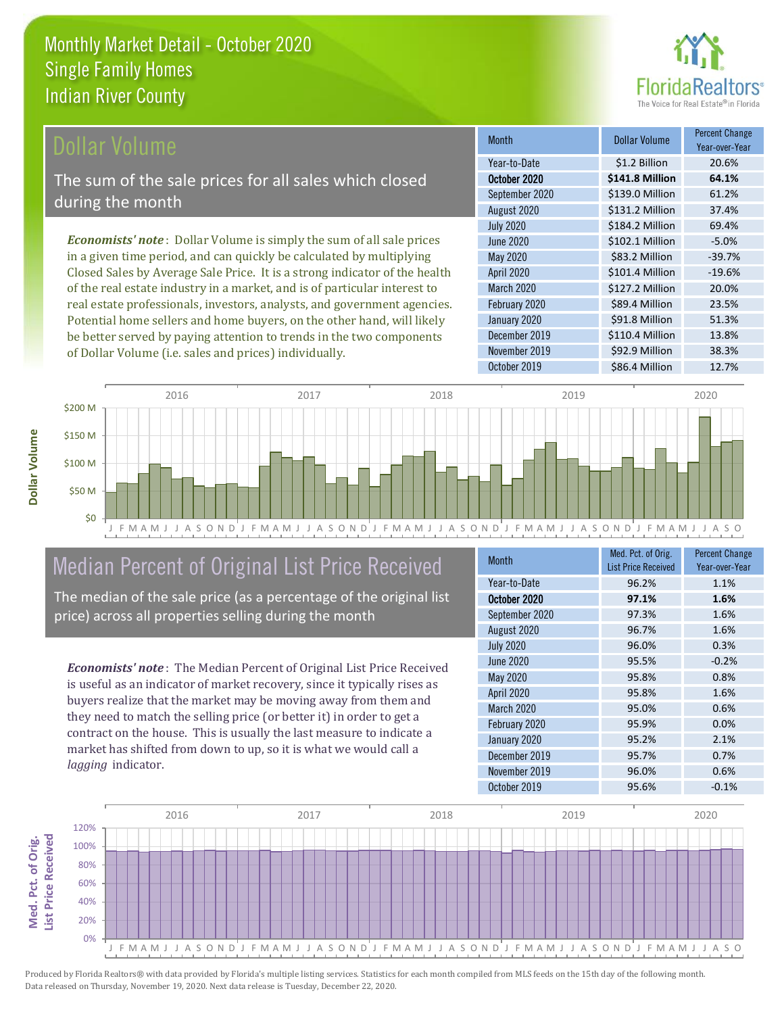

#### **Ollar Volume**

The sum of the sale prices for all sales which closed during the month

*Economists' note* : Dollar Volume is simply the sum of all sale prices in a given time period, and can quickly be calculated by multiplying Closed Sales by Average Sale Price. It is a strong indicator of the health of the real estate industry in a market, and is of particular interest to real estate professionals, investors, analysts, and government agencies. Potential home sellers and home buyers, on the other hand, will likely be better served by paying attention to trends in the two components of Dollar Volume (i.e. sales and prices) individually.

| Month             | Dollar Volume   | <b>Percent Change</b><br>Year-over-Year |
|-------------------|-----------------|-----------------------------------------|
| Year-to-Date      | \$1.2 Billion   | 20.6%                                   |
| October 2020      | \$141.8 Million | 64.1%                                   |
| September 2020    | \$139.0 Million | 61.2%                                   |
| August 2020       | \$131.2 Million | 37.4%                                   |
| <b>July 2020</b>  | \$184.2 Million | 69.4%                                   |
| June 2020         | \$102.1 Million | $-5.0%$                                 |
| May 2020          | \$83.2 Million  | $-39.7%$                                |
| <b>April 2020</b> | \$101.4 Million | $-19.6%$                                |
| March 2020        | \$127.2 Million | 20.0%                                   |
| February 2020     | \$89.4 Million  | 23.5%                                   |
| January 2020      | \$91.8 Million  | 51.3%                                   |
| December 2019     | \$110.4 Million | 13.8%                                   |
| November 2019     | \$92.9 Million  | 38.3%                                   |
| October 2019      | \$86.4 Million  | 12.7%                                   |



# Median Percent of Original List Price Received

The median of the sale price (as a percentage of the original list price) across all properties selling during the month

*Economists' note* : The Median Percent of Original List Price Received is useful as an indicator of market recovery, since it typically rises as buyers realize that the market may be moving away from them and they need to match the selling price (or better it) in order to get a contract on the house. This is usually the last measure to indicate a market has shifted from down to up, so it is what we would call a *lagging* indicator.

| <b>Month</b>     | Med. Pct. of Orig.<br><b>List Price Received</b> | <b>Percent Change</b><br>Year-over-Year |
|------------------|--------------------------------------------------|-----------------------------------------|
| Year-to-Date     | 96.2%                                            | 1.1%                                    |
| October 2020     | 97.1%                                            | 1.6%                                    |
| September 2020   | 97.3%                                            | 1.6%                                    |
| August 2020      | 96.7%                                            | 1.6%                                    |
| <b>July 2020</b> | 96.0%                                            | 0.3%                                    |
| <b>June 2020</b> | 95.5%                                            | $-0.2%$                                 |
| <b>May 2020</b>  | 95.8%                                            | 0.8%                                    |
| April 2020       | 95.8%                                            | 1.6%                                    |
| March 2020       | 95.0%                                            | 0.6%                                    |
| February 2020    | 95.9%                                            | 0.0%                                    |
| January 2020     | 95.2%                                            | 2.1%                                    |
| December 2019    | 95.7%                                            | 0.7%                                    |
| November 2019    | 96.0%                                            | 0.6%                                    |
| October 2019     | 95.6%                                            | $-0.1%$                                 |



Produced by Florida Realtors® with data provided by Florida's multiple listing services. Statistics for each month compiled from MLS feeds on the 15th day of the following month. Data released on Thursday, November 19, 2020. Next data release is Tuesday, December 22, 2020.

**Med. Pct. of Orig.** 

Med. Pct. of Orig.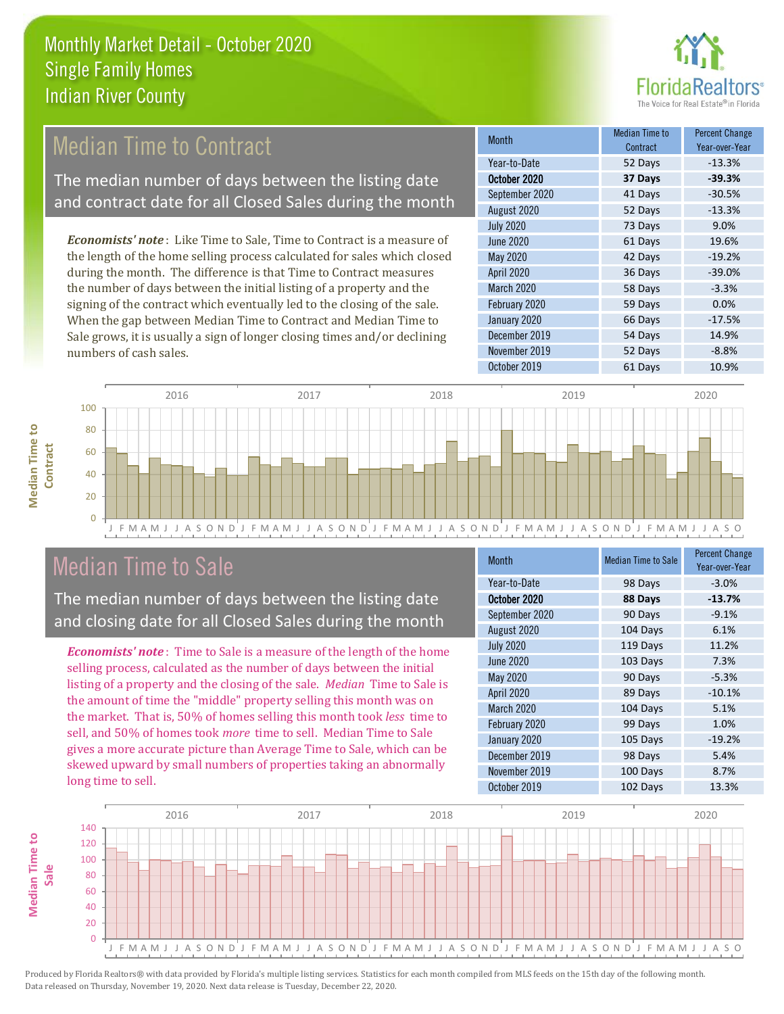

## **Median Time to Contract**

The median number of days between the listing date and contract date for all Closed Sales during the month

*Economists' note* : Like Time to Sale, Time to Contract is a measure of the length of the home selling process calculated for sales which closed during the month. The difference is that Time to Contract measures the number of days between the initial listing of a property and the signing of the contract which eventually led to the closing of the sale. When the gap between Median Time to Contract and Median Time to Sale grows, it is usually a sign of longer closing times and/or declining numbers of cash sales.

| Month            | <b>Median Time to</b><br>Contract | <b>Percent Change</b><br>Year-over-Year |
|------------------|-----------------------------------|-----------------------------------------|
| Year-to-Date     | 52 Days                           | $-13.3%$                                |
| October 2020     | 37 Days                           | $-39.3%$                                |
| September 2020   | 41 Days                           | $-30.5%$                                |
| August 2020      | 52 Days                           | $-13.3%$                                |
| <b>July 2020</b> | 73 Days                           | 9.0%                                    |
| <b>June 2020</b> | 61 Days                           | 19.6%                                   |
| May 2020         | 42 Days                           | $-19.2%$                                |
| April 2020       | 36 Days                           | $-39.0%$                                |
| March 2020       | 58 Days                           | $-3.3%$                                 |
| February 2020    | 59 Days                           | 0.0%                                    |
| January 2020     | 66 Days                           | $-17.5%$                                |
| December 2019    | 54 Days                           | 14.9%                                   |
| November 2019    | 52 Days                           | $-8.8%$                                 |
| October 2019     | 61 Days                           | 10.9%                                   |



### Median Time to Sale

**Median Time to Contract**

**Median Time to** 

The median number of days between the listing date and closing date for all Closed Sales during the month

*Economists' note* : Time to Sale is a measure of the length of the home selling process, calculated as the number of days between the initial listing of a property and the closing of the sale. *Median* Time to Sale is the amount of time the "middle" property selling this month was on the market. That is, 50% of homes selling this month took *less* time to sell, and 50% of homes took *more* time to sell. Median Time to Sale gives a more accurate picture than Average Time to Sale, which can be skewed upward by small numbers of properties taking an abnormally long time to sell.

| <b>Month</b>      | <b>Median Time to Sale</b> | <b>Percent Change</b><br>Year-over-Year |
|-------------------|----------------------------|-----------------------------------------|
| Year-to-Date      | 98 Days                    | $-3.0%$                                 |
| October 2020      | 88 Days                    | $-13.7%$                                |
| September 2020    | 90 Days                    | $-9.1%$                                 |
| August 2020       | 104 Days                   | 6.1%                                    |
| <b>July 2020</b>  | 119 Days                   | 11.2%                                   |
| <b>June 2020</b>  | 103 Days                   | 7.3%                                    |
| <b>May 2020</b>   | 90 Days                    | $-5.3%$                                 |
| <b>April 2020</b> | 89 Days                    | $-10.1%$                                |
| March 2020        | 104 Days                   | 5.1%                                    |
| February 2020     | 99 Days                    | 1.0%                                    |
| January 2020      | 105 Days                   | $-19.2%$                                |
| December 2019     | 98 Days                    | 5.4%                                    |
| November 2019     | 100 Days                   | 8.7%                                    |
| October 2019      | 102 Days                   | 13.3%                                   |

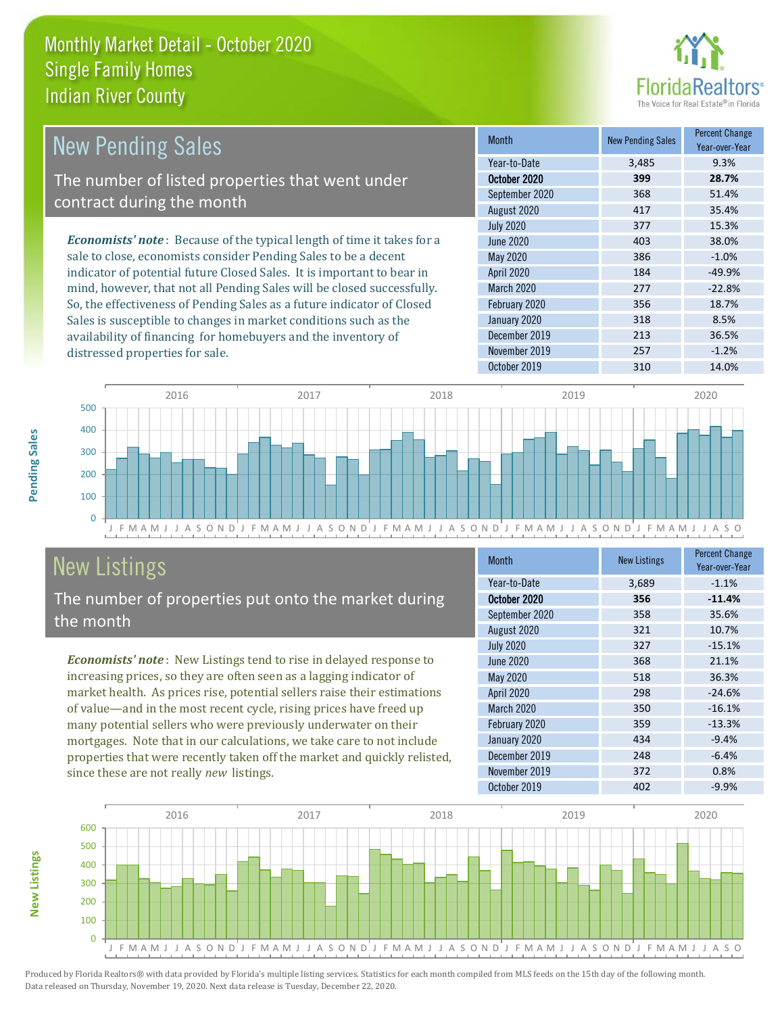

| <b>New Pending Sales</b>                                                      | <b>Month</b>      | <b>New Pending Sales</b> | <b>Percent Change</b><br>Year-over-Year |
|-------------------------------------------------------------------------------|-------------------|--------------------------|-----------------------------------------|
|                                                                               | Year-to-Date      | 3,485                    | 9.3%                                    |
| The number of listed properties that went under                               | October 2020      | 399                      | 28.7%                                   |
| contract during the month                                                     | September 2020    | 368                      | 51.4%                                   |
|                                                                               | August 2020       | 417                      | 35.4%                                   |
|                                                                               | <b>July 2020</b>  | 377                      | 15.3%                                   |
| <b>Economists' note:</b> Because of the typical length of time it takes for a | June 2020         | 403                      | 38.0%                                   |
| sale to close, economists consider Pending Sales to be a decent               | May 2020          | 386                      | $-1.0%$                                 |
| indicator of potential future Closed Sales. It is important to bear in        | <b>April 2020</b> | 184                      | $-49.9%$                                |
| mind, however, that not all Pending Sales will be closed successfully.        | <b>March 2020</b> | 277                      | $-22.8%$                                |
| So, the effectiveness of Pending Sales as a future indicator of Closed        | February 2020     | 356                      | 18.7%                                   |
| Sales is susceptible to changes in market conditions such as the              | January 2020      | 318                      | 8.5%                                    |



# New Listings

distressed properties for sale.

The number of properties put onto the market during the month

availability of financing for homebuyers and the inventory of

*Economists' note* : New Listings tend to rise in delayed response to increasing prices, so they are often seen as a lagging indicator of market health. As prices rise, potential sellers raise their estimations of value—and in the most recent cycle, rising prices have freed up many potential sellers who were previously underwater on their mortgages. Note that in our calculations, we take care to not include properties that were recently taken off the market and quickly relisted, since these are not really *new* listings.

| <b>Month</b>      | <b>New Listings</b> | <b>Percent Change</b><br>Year-over-Year |
|-------------------|---------------------|-----------------------------------------|
| Year-to-Date      | 3,689               | $-1.1%$                                 |
| October 2020      | 356                 | $-11.4%$                                |
| September 2020    | 358                 | 35.6%                                   |
| August 2020       | 321                 | 10.7%                                   |
| <b>July 2020</b>  | 327                 | $-15.1%$                                |
| <b>June 2020</b>  | 368                 | 21.1%                                   |
| May 2020          | 518                 | 36.3%                                   |
| April 2020        | 298                 | $-24.6%$                                |
| <b>March 2020</b> | 350                 | $-16.1%$                                |
| February 2020     | 359                 | $-13.3%$                                |
| January 2020      | 434                 | $-9.4%$                                 |
| December 2019     | 248                 | $-6.4%$                                 |
| November 2019     | 372                 | 0.8%                                    |
| October 2019      | 402                 | $-9.9%$                                 |

December 2019 213 36.5% November 2019 257 -1.2%



Produced by Florida Realtors® with data provided by Florida's multiple listing services. Statistics for each month compiled from MLS feeds on the 15th day of the following month. Data released on Thursday, November 19, 2020. Next data release is Tuesday, December 22, 2020.

**New Listings**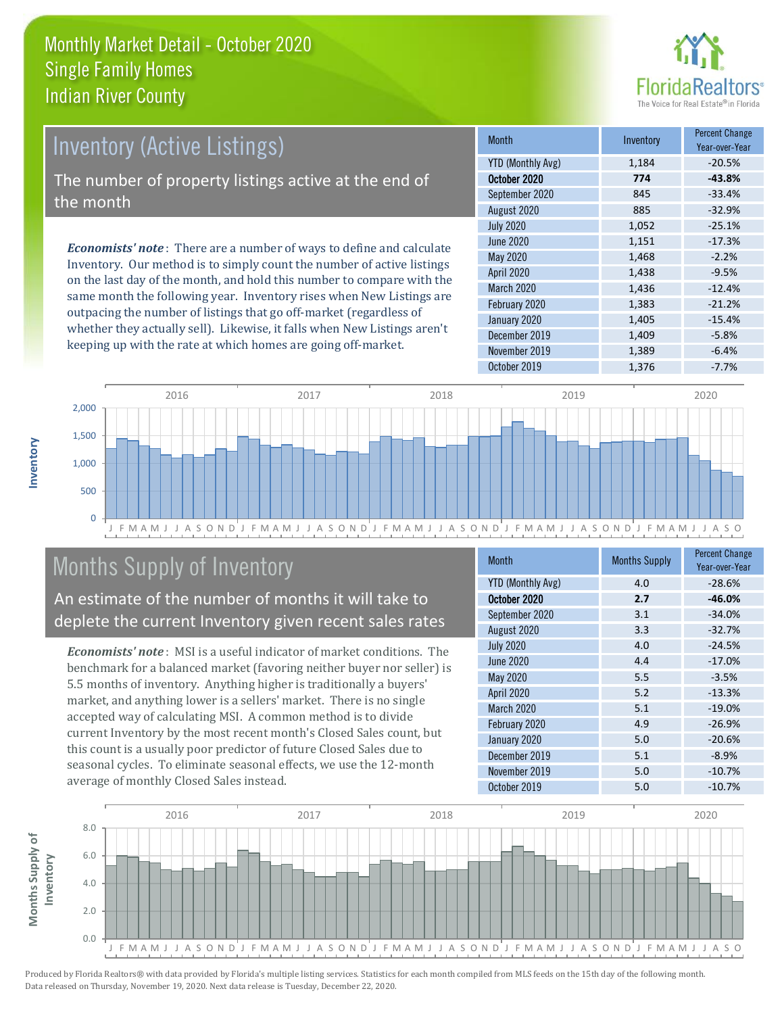

# Inventory (Active Listings) The number of property listings active at the end of the month

*Economists' note* : There are a number of ways to define and calculate Inventory. Our method is to simply count the number of active listings on the last day of the month, and hold this number to compare with the same month the following year. Inventory rises when New Listings are outpacing the number of listings that go off-market (regardless of whether they actually sell). Likewise, it falls when New Listings aren't keeping up with the rate at which homes are going off-market.

| <b>Month</b>             | Inventory | <b>Percent Change</b><br>Year-over-Year |
|--------------------------|-----------|-----------------------------------------|
| <b>YTD (Monthly Avg)</b> | 1,184     | $-20.5%$                                |
| October 2020             | 774       | $-43.8%$                                |
| September 2020           | 845       | $-33.4%$                                |
| August 2020              | 885       | $-32.9%$                                |
| <b>July 2020</b>         | 1,052     | $-25.1%$                                |
| <b>June 2020</b>         | 1,151     | $-17.3%$                                |
| <b>May 2020</b>          | 1,468     | $-2.2%$                                 |
| April 2020               | 1,438     | $-9.5%$                                 |
| March 2020               | 1,436     | $-12.4%$                                |
| February 2020            | 1,383     | $-21.2%$                                |
| January 2020             | 1,405     | $-15.4%$                                |
| December 2019            | 1,409     | $-5.8%$                                 |
| November 2019            | 1,389     | $-6.4%$                                 |
| October 2019             | 1,376     | $-7.7%$                                 |



# Months Supply of Inventory

An estimate of the number of months it will take to deplete the current Inventory given recent sales rates

*Economists' note* : MSI is a useful indicator of market conditions. The benchmark for a balanced market (favoring neither buyer nor seller) is 5.5 months of inventory. Anything higher is traditionally a buyers' market, and anything lower is a sellers' market. There is no single accepted way of calculating MSI. A common method is to divide current Inventory by the most recent month's Closed Sales count, but this count is a usually poor predictor of future Closed Sales due to seasonal cycles. To eliminate seasonal effects, we use the 12-month average of monthly Closed Sales instead.

| <b>Month</b>             | <b>Months Supply</b> | <b>Percent Change</b><br>Year-over-Year |
|--------------------------|----------------------|-----------------------------------------|
| <b>YTD (Monthly Avg)</b> | 4.0                  | $-28.6%$                                |
| October 2020             | 2.7                  | $-46.0%$                                |
| September 2020           | 3.1                  | $-34.0%$                                |
| August 2020              | 3.3                  | $-32.7%$                                |
| <b>July 2020</b>         | 4.0                  | $-24.5%$                                |
| <b>June 2020</b>         | 4.4                  | $-17.0%$                                |
| <b>May 2020</b>          | 5.5                  | $-3.5%$                                 |
| April 2020               | 5.2                  | $-13.3%$                                |
| March 2020               | 5.1                  | $-19.0%$                                |
| February 2020            | 4.9                  | $-26.9%$                                |
| January 2020             | 5.0                  | $-20.6%$                                |
| December 2019            | 5.1                  | $-8.9%$                                 |
| November 2019            | 5.0                  | $-10.7%$                                |
| October 2019             | 5.0                  | $-10.7%$                                |



**Inventory**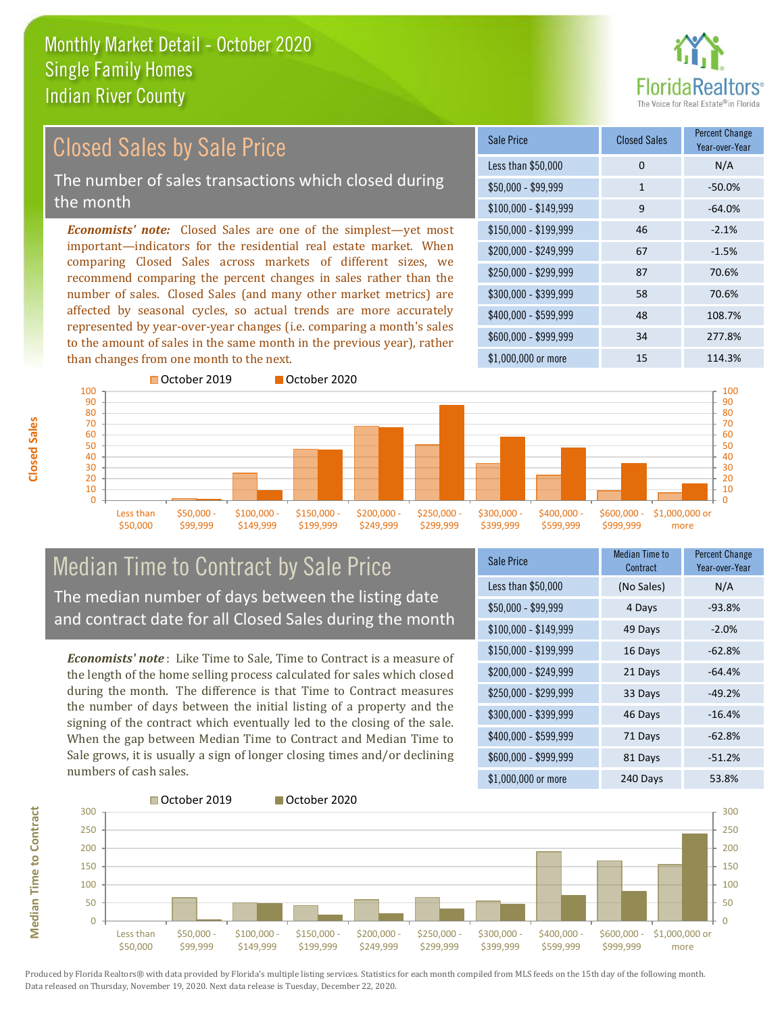

#### \$100,000 - \$149,999 9 -64.0% Sale Price Closed Sales Percent Change Year-over-Year Less than \$50,000 0 0 N/A  $$50.000 - $99.999$  1 -50.0% \$150,000 - \$199,999 46 -2.1% \$200,000 - \$249,999 67 -1.5% \$400,000 - \$599,999 48 108.7% \$600,000 - \$999,999 34 277.8% *Economists' note:* Closed Sales are one of the simplest—yet most important—indicators for the residential real estate market. When comparing Closed Sales across markets of different sizes, we recommend comparing the percent changes in sales rather than the number of sales. Closed Sales (and many other market metrics) are affected by seasonal cycles, so actual trends are more accurately represented by year-over-year changes (i.e. comparing a month's sales to the amount of sales in the same month in the previous year), rather than changes from one month to the next. \$1,000,000 or more 15 114.3% \$250,000 - \$299,999 87 70.6% \$300,000 - \$399,999 58 70.6% Closed Sales by Sale Price The number of sales transactions which closed during the month



#### Median Time to Contract by Sale Price The median number of days between the listing date and contract date for all Closed Sales during the month

*Economists' note* : Like Time to Sale, Time to Contract is a measure of the length of the home selling process calculated for sales which closed during the month. The difference is that Time to Contract measures the number of days between the initial listing of a property and the signing of the contract which eventually led to the closing of the sale. When the gap between Median Time to Contract and Median Time to Sale grows, it is usually a sign of longer closing times and/or declining numbers of cash sales.

| Sale Price            | Median Time to<br>Contract | Percent Change<br>Year-over-Year |
|-----------------------|----------------------------|----------------------------------|
| Less than \$50,000    | (No Sales)                 | N/A                              |
| \$50,000 - \$99,999   | 4 Days                     | $-93.8%$                         |
| $$100,000 - $149,999$ | 49 Days                    | $-2.0%$                          |
| $$150,000 - $199,999$ | 16 Days                    | $-62.8%$                         |
| \$200,000 - \$249,999 | 21 Days                    | $-64.4%$                         |
| \$250,000 - \$299,999 | 33 Days                    | $-49.2%$                         |
| \$300,000 - \$399,999 | 46 Days                    | $-16.4%$                         |
| \$400,000 - \$599,999 | 71 Days                    | $-62.8%$                         |
| \$600,000 - \$999,999 | 81 Days                    | $-51.2%$                         |
| \$1,000,000 or more   | 240 Days                   | 53.8%                            |



Produced by Florida Realtors® with data provided by Florida's multiple listing services. Statistics for each month compiled from MLS feeds on the 15th day of the following month. Data released on Thursday, November 19, 2020. Next data release is Tuesday, December 22, 2020.

**Median Time to Contract**

**Median Time to Contract**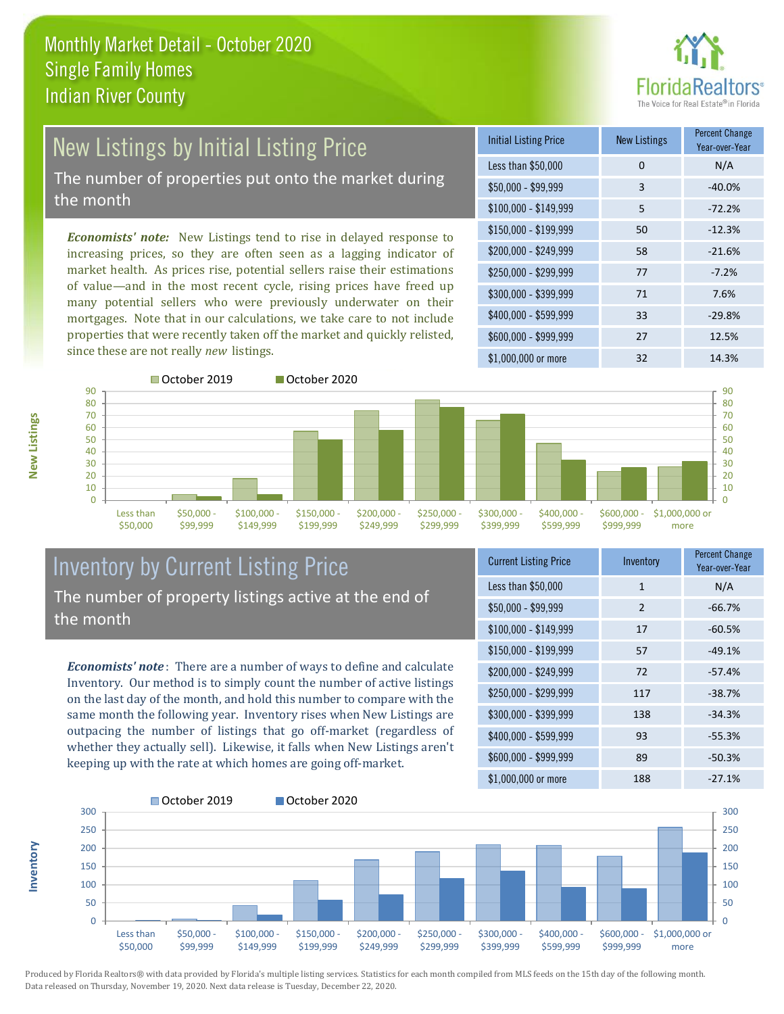

# New Listings by Initial Listing Price The number of properties put onto the market during

the month

*Economists' note:* New Listings tend to rise in delayed response to increasing prices, so they are often seen as a lagging indicator of market health. As prices rise, potential sellers raise their estimations of value—and in the most recent cycle, rising prices have freed up many potential sellers who were previously underwater on their mortgages. Note that in our calculations, we take care to not include properties that were recently taken off the market and quickly relisted, since these are not really *new* listings.

| <b>Initial Listing Price</b> | <b>New Listings</b> | <b>Percent Change</b><br>Year-over-Year |
|------------------------------|---------------------|-----------------------------------------|
| Less than \$50,000           | $\Omega$            | N/A                                     |
| $$50,000 - $99,999$          | 3                   | $-40.0%$                                |
| $$100,000 - $149,999$        | 5                   | $-72.2%$                                |
| $$150,000 - $199,999$        | 50                  | $-12.3%$                                |
| $$200,000 - $249,999$        | 58                  | $-21.6%$                                |
| \$250,000 - \$299,999        | 77                  | $-7.2%$                                 |
| \$300,000 - \$399,999        | 71                  | 7.6%                                    |
| \$400,000 - \$599,999        | 33                  | $-29.8%$                                |
| \$600,000 - \$999,999        | 27                  | 12.5%                                   |
| \$1,000,000 or more          | 32                  | 14.3%                                   |



#### Inventory by Current Listing Price The number of property listings active at the end of the month

*Economists' note* : There are a number of ways to define and calculate Inventory. Our method is to simply count the number of active listings on the last day of the month, and hold this number to compare with the same month the following year. Inventory rises when New Listings are outpacing the number of listings that go off-market (regardless of whether they actually sell). Likewise, it falls when New Listings aren't keeping up with the rate at which homes are going off-market.

| <b>Current Listing Price</b> | Inventory    | <b>Percent Change</b><br>Year-over-Year |
|------------------------------|--------------|-----------------------------------------|
| Less than \$50,000           | $\mathbf{1}$ | N/A                                     |
| $$50,000 - $99,999$          | 2            | $-66.7%$                                |
| $$100,000 - $149,999$        | 17           | $-60.5%$                                |
| $$150,000 - $199,999$        | 57           | $-49.1%$                                |
| \$200,000 - \$249,999        | 72           | $-57.4%$                                |
| \$250,000 - \$299,999        | 117          | $-38.7%$                                |
| \$300,000 - \$399,999        | 138          | $-34.3%$                                |
| \$400,000 - \$599,999        | 93           | $-55.3%$                                |
| \$600,000 - \$999,999        | 89           | $-50.3%$                                |
| \$1,000,000 or more          | 188          | $-27.1%$                                |



Produced by Florida Realtors® with data provided by Florida's multiple listing services. Statistics for each month compiled from MLS feeds on the 15th day of the following month. Data released on Thursday, November 19, 2020. Next data release is Tuesday, December 22, 2020.

**Inventory**